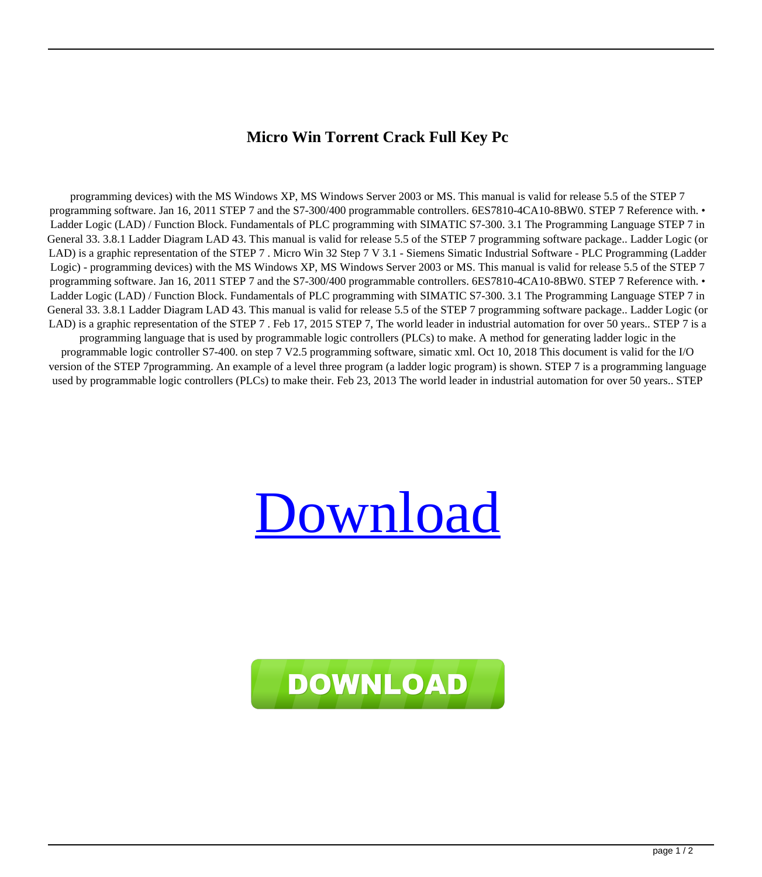## **Micro Win Torrent Crack Full Key Pc**

programming devices) with the MS Windows XP, MS Windows Server 2003 or MS. This manual is valid for release 5.5 of the STEP 7 programming software. Jan 16, 2011 STEP 7 and the S7-300/400 programmable controllers. 6ES7810-4CA10-8BW0. STEP 7 Reference with. • Ladder Logic (LAD) / Function Block. Fundamentals of PLC programming with SIMATIC S7-300. 3.1 The Programming Language STEP 7 in General 33. 3.8.1 Ladder Diagram LAD 43. This manual is valid for release 5.5 of the STEP 7 programming software package.. Ladder Logic (or LAD) is a graphic representation of the STEP 7 . Micro Win 32 Step 7 V 3.1 - Siemens Simatic Industrial Software - PLC Programming (Ladder Logic) - programming devices) with the MS Windows XP, MS Windows Server 2003 or MS. This manual is valid for release 5.5 of the STEP 7 programming software. Jan 16, 2011 STEP 7 and the S7-300/400 programmable controllers. 6ES7810-4CA10-8BW0. STEP 7 Reference with. • Ladder Logic (LAD) / Function Block. Fundamentals of PLC programming with SIMATIC S7-300. 3.1 The Programming Language STEP 7 in General 33. 3.8.1 Ladder Diagram LAD 43. This manual is valid for release 5.5 of the STEP 7 programming software package.. Ladder Logic (or LAD) is a graphic representation of the STEP 7. Feb 17, 2015 STEP 7, The world leader in industrial automation for over 50 years.. STEP 7 is a programming language that is used by programmable logic controllers (PLCs) to make. A method for generating ladder logic in the programmable logic controller S7-400. on step 7 V2.5 programming software, simatic xml. Oct 10, 2018 This document is valid for the I/O version of the STEP 7programming. An example of a level three program (a ladder logic program) is shown. STEP 7 is a programming language used by programmable logic controllers (PLCs) to make their. Feb 23, 2013 The world leader in industrial automation for over 50 years.. STEP

## [Download](http://evacdir.com/mousetrap/?TWljcm8gV2luIDMyIFN0ZXAgNyBWIDMuMSAtIFNpZW1lbnMgU2ltYXRpYyBJbmR1c3RyaWFsIFNvZnR3YXJlIC0gUExDIFByb2dyYW1taW5nIChMYWRkZXIgTG9naWMpIC0TWl=realtors&cover=ecpi&ZG93bmxvYWR8UDRzTVhkdGJYeDhNVFkxTWpjME1EZzJObng4TWpVM05IeDhLRTBwSUhKbFlXUXRZbXh2WnlCYlJtRnpkQ0JIUlU1ZA=interdependence.transporting)